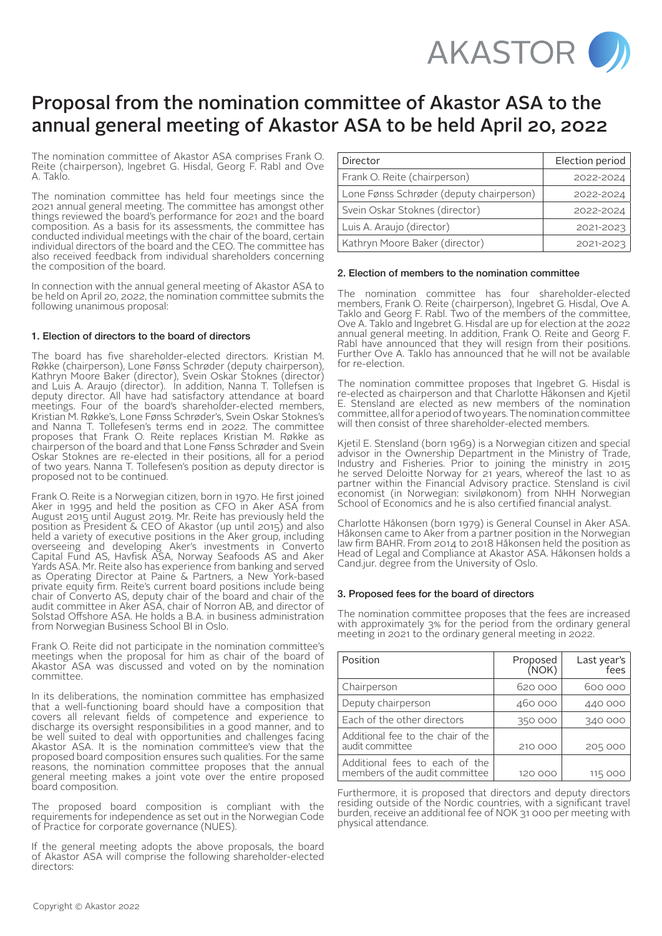

# Proposal from the nomination committee of Akastor ASA to the annual general meeting of Akastor ASA to be held April 20, 2022

The nomination committee of Akastor ASA comprises Frank O. Reite (chairperson), Ingebret G. Hisdal, Georg F. Rabl and Ove A. Taklo.

The nomination committee has held four meetings since the 2021 annual general meeting. The committee has amongst other things reviewed the board's performance for 2021 and the board composition. As a basis for its assessments, the committee has conducted individual meetings with the chair of the board, certain individual directors of the board and the CEO. The committee has also received feedback from individual shareholders concerning the composition of the board.

In connection with the annual general meeting of Akastor ASA to be held on April 20, 2022, the nomination committee submits the following unanimous proposal:

## 1. Election of directors to the board of directors

The board has five shareholder-elected directors. Kristian M. Røkke (chairperson), Lone Fønss Schrøder (deputy chairperson), Kathryn Moore Baker (director), Svein Oskar Stoknes (director) and Luis A. Araujo (director). In addition, Nanna T. Tollefsen is deputy director. All have had satisfactory attendance at board meetings. Four of the board's shareholder-elected members, Kristian M. Røkke's, Lone Fønss Schrøder's, Svein Oskar Stoknes's and Nanna T. Tollefesen's terms end in 2022. The committee proposes that Frank O. Reite replaces Kristian M. Røkke as chairperson of the board and that Lone Fønss Schrøder and Svein Oskar Stoknes are re-elected in their positions, all for a period of two years. Nanna T. Tollefesen's position as deputy director is proposed not to be continued.

Frank O. Reite is a Norwegian citizen, born in 1970. He first joined Aker in 1995 and held the position as CFO in Aker ASA from August 2015 until August 2019. Mr. Reite has previously held the position as President & CEO of Akastor (up until 2015) and also held a variety of executive positions in the Aker group, including overseeing and developing Aker's investments in Converto Capital Fund AS, Havfisk ASA, Norway Seafoods AS and Aker Yards ASA. Mr. Reite also has experience from banking and served as Operating Director at Paine & Partners, a New York-based private equity firm. Reite's current board positions include being chair of Converto AS, deputy chair of the board and chair of the audit committee in Aker ASA, chair of Norron AB, and director of Solstad Offshore ASA. He holds a B.A. in business administration from Norwegian Business School BI in Oslo.

Frank O. Reite did not participate in the nomination committee's meetings when the proposal for him as chair of the board of Akastor ASA was discussed and voted on by the nomination committee.

In its deliberations, the nomination committee has emphasized that a well-functioning board should have a composition that covers all relevant fields of competence and experience to discharge its oversight responsibilities in a good manner, and to be well suited to deal with opportunities and challenges facing Akastor ASA. It is the nomination committee's view that the proposed board composition ensures such qualities. For the same reasons, the nomination committee proposes that the annual general meeting makes a joint vote over the entire proposed board composition.

The proposed board composition is compliant with the requirements for independence as set out in the Norwegian Code of Practice for corporate governance (NUES).

If the general meeting adopts the above proposals, the board of Akastor ASA will comprise the following shareholder-elected directors:

| Director                                 | Election period |
|------------------------------------------|-----------------|
| Frank O. Reite (chairperson)             | 2022-2024       |
| Lone Fønss Schrøder (deputy chairperson) | 2022-2024       |
| Svein Oskar Stoknes (director)           | 2022-2024       |
| Luis A. Araujo (director)                | 2021-2023       |
| Kathryn Moore Baker (director)           | 2021-2023       |

### 2. Election of members to the nomination committee

The nomination committee has four shareholder-elected members, Frank O. Reite (chairperson), Ingebret G. Hisdal, Ove A. Taklo and Georg F. Rabl. Two of the members of the committee, Ove A. Taklo and Ingebret G. Hisdal are up for election at the 2022 annual general meeting. In addition, Frank O. Reite and Georg F. Rabl have announced that they will resign from their positions. Further Ove A. Taklo has announced that he will not be available for re-election.

The nomination committee proposes that Ingebret G. Hisdal is re-elected as chairperson and that Charlotte Håkonsen and Kjetil E. Stensland are elected as new members of the nomination committee, all for a period of two years. The nomination committee will then consist of three shareholder-elected members.

Kjetil E. Stensland (born 1969) is a Norwegian citizen and special advisor in the Ownership Department in the Ministry of Trade, Industry and Fisheries. Prior to joining the ministry in 2015 he served Deloitte Norway for 21 years, whereof the last 10 as partner within the Financial Advisory practice. Stensland is civil economist (in Norwegian: siviløkonom) from NHH Norwegian School of Economics and he is also certified financial analyst.

Charlotte Håkonsen (born 1979) is General Counsel in Aker ASA. Håkonsen came to Aker from a partner position in the Norwegian law firm BAHR. From 2014 to 2018 Håkonsen held the position as Head of Legal and Compliance at Akastor ASA. Håkonsen holds a Cand.jur. degree from the University of Oslo.

## 3. Proposed fees for the board of directors

The nomination committee proposes that the fees are increased with approximately 3% for the period from the ordinary general meeting in 2021 to the ordinary general meeting in 2022.

| Position                                                         | Proposed<br>(NOK) | Last year's<br>fees |
|------------------------------------------------------------------|-------------------|---------------------|
| Chairperson                                                      | 620000            | 600 000             |
| Deputy chairperson                                               | 460 000           | 440 000             |
| Each of the other directors                                      | 350000            | 340 000             |
| Additional fee to the chair of the<br>audit committee            | 210 000           | 205 000             |
| Additional fees to each of the<br>members of the audit committee | 120 000           | <b>115 OOC</b>      |

Furthermore, it is proposed that directors and deputy directors residing outside of the Nordic countries, with a significant travel burden, receive an additional fee of NOK 31 000 per meeting with physical attendance.